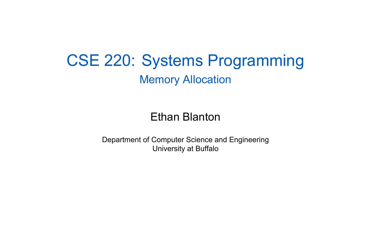### CSE 220: Systems Programming Memory Allocation

### Ethan Blanton

Department of Computer Science and Engineering University at Buffalo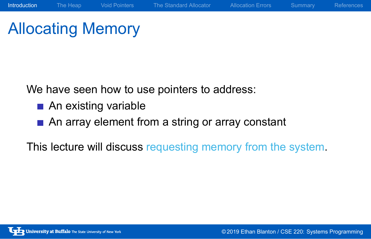# Allocating Memory

We have seen how to use pointers to address:

- An existing variable
- An array element from a string or array constant

This lecture will discuss requesting memory from the system.

Introduction The Heap Void Pointers The Standard Allocator Allocation Errors Summary References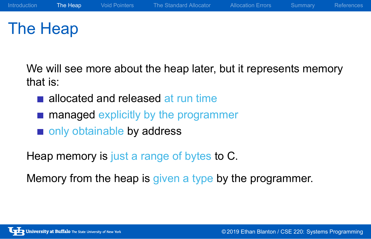## The Heap

We will see more about the heap later, but it represents memory that is:

- allocated and released at run time
- **managed explicitly by the programmer**
- only obtainable by address

Heap memory is just a range of bytes to C.

Memory from the heap is given a type by the programmer.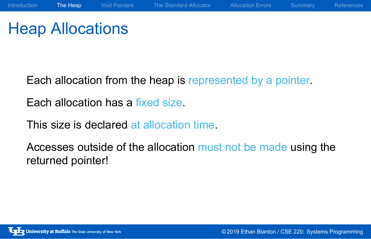# Heap Allocations

Each allocation from the heap is represented by a pointer.

Introduction The Heap Void Pointers The Standard Allocator Allocation Errors Summary References

Each allocation has a fixed size.

This size is declared at allocation time.

Accesses outside of the allocation must not be made using the returned pointer!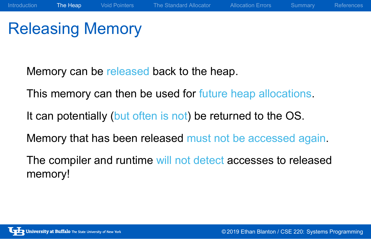## Releasing Memory

Memory can be released back to the heap.

This memory can then be used for future heap allocations.

Introduction The Heap Void Pointers The Standard Allocator Allocation Errors Summary References

It can potentially (but often is not) be returned to the OS.

Memory that has been released must not be accessed again.

The compiler and runtime will not detect accesses to released memory!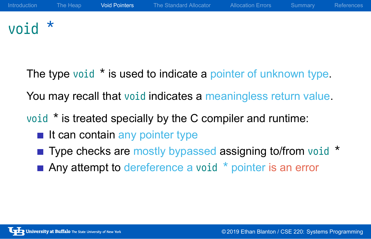# void \*

The type void \* is used to indicate a pointer of unknown type. You may recall that void indicates a meaningless return value.

**Void Pointers** The Standard Allocator Allocation Errors Summary Reference

void \* is treated specially by the C compiler and runtime:

- $\blacksquare$  It can contain any pointer type
- Type checks are mostly bypassed assigning to/from void \*
- $\blacksquare$  Any attempt to dereference a void  $*$  pointer is an error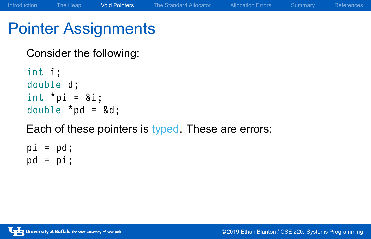## Pointer Assignments

Consider the following:

int i; double d; int  $*$ pi = &i; double  $*$ pd =  $\&d$ ; Each of these pointers is typed. These are errors:  $pi = pd;$ 

Introduction The Heap Void Pointers The Standard Allocator Allocation Errors Summary References

 $pd = pi;$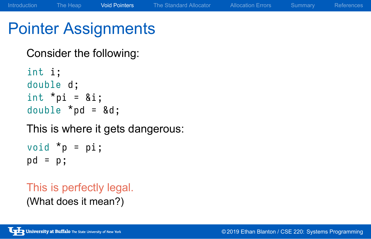## Pointer Assignments

Consider the following:

int i; double d; int  $*$ pi = &i; double  $*$ pd =  $\&d$ 

This is where it gets dangerous:

Introduction The Heap Void Pointers The Standard Allocator Allocation Errors Summary References

void  $*_{p}$  = pi; pd = p ;

This is perfectly legal.

(What does it mean?)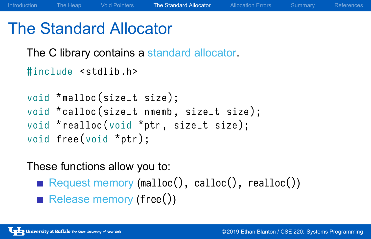### The Standard Allocator

The C library contains a standard allocator.

```
#include <stdlib.h>
void *malloc(size_t size);
void *calloc (size_t nmemb, size_t size);
void *realloc (void *ptr, size_t size);
void free (void *ptr);
```
### These functions allow you to:

- Request memory (malloc(), calloc(), realloc())
- Release memory (free())

The Standard Allocator Allocation Errors Summary Reference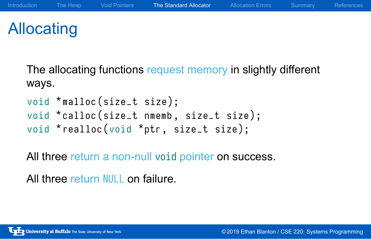## Allocating

The allocating functions request memory in slightly different ways.

Introduction The Heap Void Pointers The Standard Allocator Allocation Errors Summary References

```
void *malloc(size_t size);
void *calloc (size_t nmemb, size_t size);
void *realloc (void *ptr, size_t size);
```
All three return a non-null void pointer on success.

All three return NULL on failure.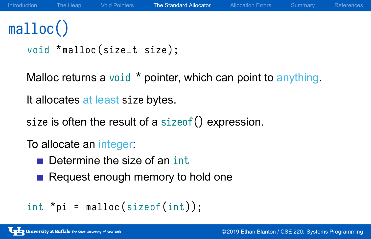# malloc()

```
void *malloc(size_t size);
```
Malloc returns a void \* pointer, which can point to anything.

Introduction The Heap Void Pointers The Standard Allocator Allocation Errors Summary Reference

It allocates at least size bytes.

size is often the result of a sizeof() expression.

To allocate an integer:

- Determine the size of an int
- Request enough memory to hold one

```
int * pi = malloc(sizeof(int));
```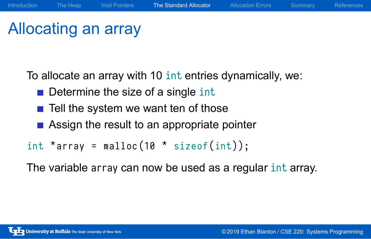### Allocating an array

To allocate an array with 10 int entries dynamically, we:

- Determine the size of a single int
- $\blacksquare$  Tell the system we want ten of those
- Assign the result to an appropriate pointer

int  $*$  array = malloc (10  $*$  sizeof(int));

The variable array can now be used as a regular int array.

The Standard Allocator Allocation Errors Summary Reference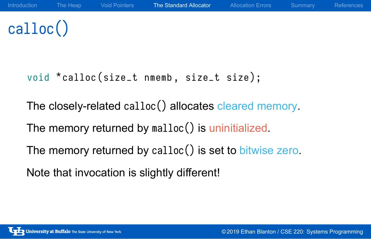# calloc()

void \*calloc (size\_t nmemb, size\_t size);

The closely-related calloc() allocates cleared memory.

The Heap Void Pointers The Standard Allocator Allocation Errors Summary Reference

The memory returned by malloc() is uninitialized.

The memory returned by calloc() is set to bitwise zero.

Note that invocation is slightly different!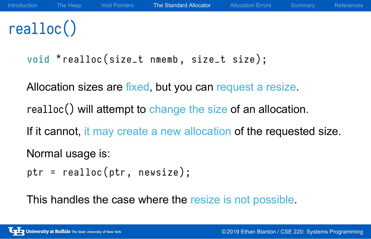# realloc()

void \*realloc (size\_t nmemb, size\_t size);

Allocation sizes are fixed, but you can request a resize.

realloc() will attempt to change the size of an allocation.

If it cannot, it may create a new allocation of the requested size.

Introduction The Heap Void Pointers The Standard Allocator Allocation Errors Summary Reference

Normal usage is:

 $ptr = realloc(ptr, newsize);$ 

This handles the case where the resize is not possible.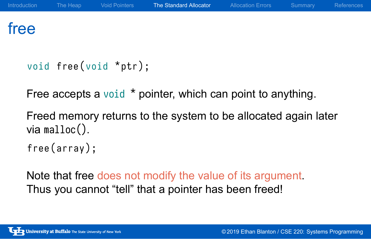### free

```
void free (void *ptr);
```
Free accepts a void \* pointer, which can point to anything.

Freed memory returns to the system to be allocated again later via malloc().

free (array);

Note that free does not modify the value of its argument. Thus you cannot "tell" that a pointer has been freed!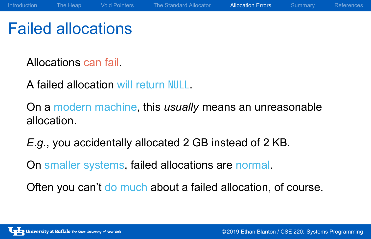## Failed allocations

Allocations can fail.

A failed allocation will return NULL.

On a modern machine, this *usually* means an unreasonable allocation.

Introduction The Heap Void Pointers The Standard Allocator Allocation Errors Summary References

*E.g.*, you accidentally allocated 2 GB instead of 2 KB.

On smaller systems, failed allocations are normal.

Often you can't do much about a failed allocation, of course.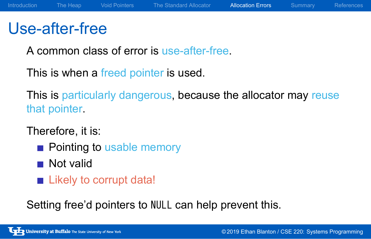## Use-after-free

A common class of error is use-after-free.

This is when a freed pointer is used.

This is particularly dangerous, because the allocator may reuse that pointer.

Therefore, it is:

- **Pointing to usable memory**
- Not valid
- **Likely to corrupt data!**

Setting free'd pointers to NULL can help prevent this.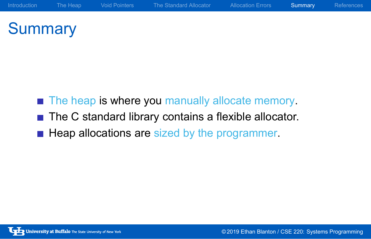# **Summary**

- The heap is where you manually allocate memory.
- The C standard library contains a flexible allocator.
- Heap allocations are sized by the programmer.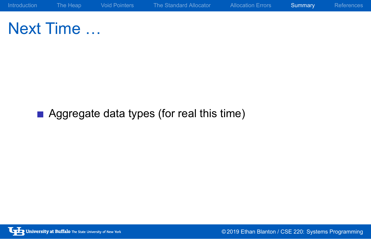

Next Time …

**Aggregate data types (for real this time)**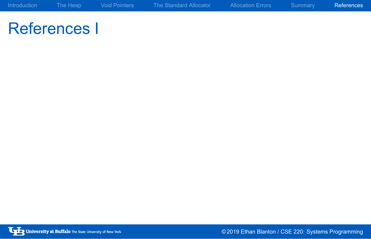References I